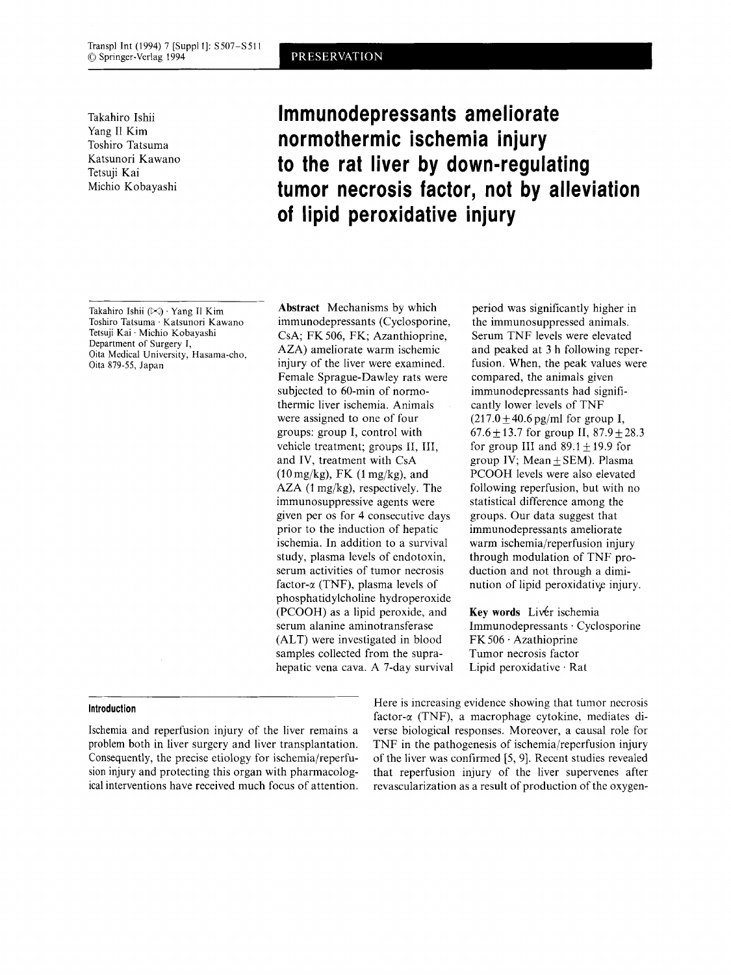Yang I1 Kim Toshiro Tatsuma Katsunori Kawano Tetsuji Kai Michio Kobayashi

# Takahiro Ishii **lmmunodepressants ameliorate normothermic ischemia injury to the rat liver by down-regulating tumor necrosis factor, not by alleviation of lipid peroxidative injury**

Takahiro Ishii (W) . Yang **I1** Kim Toshiro Tatsuma . Katsunori Kawano Tetsuji Kai . Michio Kobayashi Department of Surgery I, Oita Medical University, Hasama-cho, Oita 879-55, Japan

**Abstract** Mechanisms by which immunodepressants (Cyclosporine, CsA; FK 506, FK; Azanthioprine, AZA) ameliorate warm ischemic injury of the liver were examined. Female Sprague-Dawley rats were subjected to 60-min of normothermic liver ischemia. Animals were assigned to one of four groups: group I, control with vehicle treatment; groups 11, 111, and IV, treatment with CsA AZA (1 mg/kg), respectively. The immunosuppressive agents were given per 0s for 4 consecutive days prior to the induction of hepatic ischemia. In addition to a survival study, plasma levels of endotoxin, serum activities of tumor necrosis factor- $\alpha$  (TNF), plasma levels of phosphatidylcholine hydroperoxide (PCOOH) as a lipid peroxide, and serum alanine aminotransferase (ALT) were investigated in blood samples collected from the suprahepatic vena cava. **A** 7-day survival  $(10 \,\text{mg/kg})$ , FK  $(1 \,\text{mg/kg})$ , and

period was significantly higher in the immunosuppressed animals. Serum TNF levels were elevated and peaked at **3** h following reperfusion. When, the peak values were compared, the animals given immunodepressants had significantly lower levels of TNF  $(217.0 \pm 40.6 \,\text{pg/ml} \text{ for group I},$  $67.6+13.7$  for group II,  $87.9+28.3$ for group III and  $89.1 \pm 19.9$  for group IV; Mean  $\pm$  SEM). Plasma PCOOH levels were also elevated following reperfusion, but with no statistical difference among the groups. Our data suggest that immunodepressants ameliorate warm ischemia/reperfusion injury through modulation of TNF production and not through a diminution of lipid peroxidative injury.

**Key words** Liver ischemia Immunodepressants . Cyclosporine  $FK 506 \cdot Azathioprine$ Tumor necrosis factor Lipid peroxidative . Rat

Ischemia and reperfusion injury of the liver remains a problem both in liver surgery and liver transplantation. Consequently, the precise etiology for ischemia/reperfusion injury and protecting this organ with pharmacological interventions have received much focus of attention.

Here is increasing evidence showing that tumor necrosis **factor-a (TNF), a macrophage cytokine, mediates di- Introduction Internal case of the subset of the subset of the subset of the subset of the subset of the subset of the subset of the subset of the subset of the subse** verse biological responses. Moreover, a causal role for TNF in the pathogenesis of ischemia/reperfusion injury of the liver was confirmed [5,9]. Recent studies revealed that reperfusion injury of the liver supervenes after revascularization as a result of production of the oxygen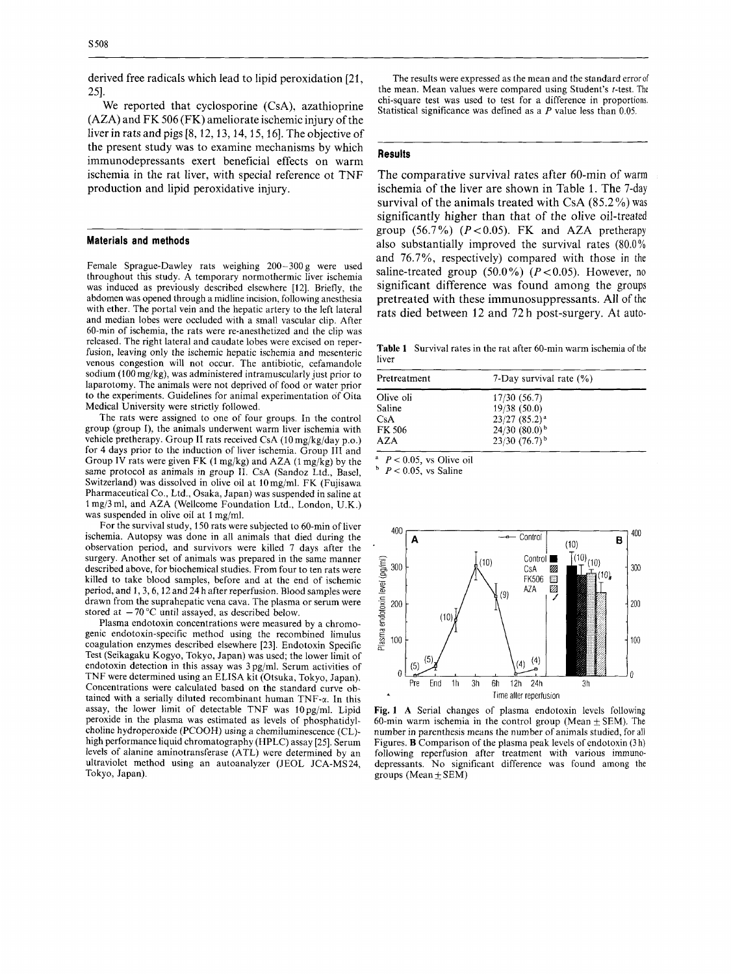derived free radicals which lead to lipid peroxidation [21, 251.

We reported that cyclosporine (CsA), azathioprine (AZA) and FK 506 (FK) ameliorate ischemic injury of the liver in rats and pigs [8,12,13,14,15,16]. The objective of the present study was to examine mechanisms by which immunodepressants exert beneficial effects on warm ischemia in the rat liver, with special reference ot TNF production and lipid peroxidative injury.

### **Materials and methods**

Female Sprague-Dawley rats weighing 200-300 g were used throughout this study. A temporary normothermic liver ischemia was induced as previously described elsewhere [12]. Briefly, the abdomen was opened through a midline incision, following anesthesia with ether. The portal vein and the hepatic artery to the left lateral and median lobes were occluded with a small vascular clip. After 60-min of ischemia, the rats were re-anesthetized and the clip was released. The right lateral and caudate lobes were excised on reperfusion, leaving only the ischemic hepatic ischemia and mesenteric venous congestion will not occur. The antibiotic, cefamandole sodium (I00 mg/kg), was administered intramuscularly just prior to laparotomy. The animals were not deprived of food or water prior to the experiments. Guidelines for animal experimentation of Oita Medical University were strictly followed.

The rats were assigned to one of four groups. In the control group (group I), the animals underwent warm liver ischemia with vehicle pretherapy. Group **I1** rats received **CsA** (10 mg/kg/day p.0.) for 4 days prior to the induction of liver ischemia. Group **111** and Group IV rats were given FK **(1** mg/kg) and AZA (1 mg/kg) by the same protocol as animals in group 11. CsA (Sandoz Ltd., Basel, Switzerland) was dissolved in olive oil at 10mg/ml. FK (Fujisawa Pharmaceutical *Co.,* Ltd., Osaka, Japan) was suspended in saline at I mg/3 ml, and AZA (Wellcome Foundation Ltd., London, U.K.) was suspended in olive oil at 1 mg/ml.

For the survival study, 150 rats were subjected to 60-min of liver ischemia. Autopsy was done in all animals that died during the observation period, and survivors were killed 7 days after the surgery. Another set of animals was prepared in the same manner described above, for biochemical studies. From four to ten rats were killed to take blood samples, before and at the end of ischemic period, and 1,3,6,12 and 24 h after reperfusion. Blood samples were drawn from the suprahepatic vena cava. The plasma or serum were stored at  $-70$  °C until assayed, as described below.

Plasma endotoxin concentrations were measured by a chromogenic endotoxin-specific method using the recombined limulus coagulation enzymes described elsewhere [23]. Endotoxin Specific Test (Seikagaku Kogyo, Tokyo, Japan) was used; the lower limit of endotoxin detection in this assay was 3 pg/ml. Serum activities of TNF were determined using an ELISA kit (Otsuka, Tokyo, Japan). Concentrations were calculated based on the standard curve obtained with a serially diluted recombinant human  $TNF-\alpha$ . In this assay, the lower limit of detectable TNF was 10pg/ml. Lipid peroxide in the plasma was estimated as levels of phosphatidylcholine hydroperoxide (PCOOH) using a chemiluminescence (CL) high performance liquid chromatography (HPLC) assay [25]. Serum levels of alanine aminotransferase (ATL) were determined by an ultraviolet method using an autoanalyzer (JEOL JCA-MS 24, Tokyo, Japan).

The results were expressed **as** the mean and the standard error of the mean. Mean values were compared using Student's t-test. The chi-square test was used to test for a difference in proportions. Statistical significance was defined as a  $P$  value less than 0.05.

# **Results**

~~~~~~~~~~~~~

The comparative survival rates after 60-min of warm ischemia of the liver are shown in Table 1. The 7-day survival of the animals treated with CsA  $(85.2\%)$  was significantly higher than that of the olive oil-treated group (56.7%) *(P<0.05).* FK and AZA pretherapy also substantially improved the survival rates (80.0%) and 76.7%, respectively) compared with those in the saline-treated group  $(50.0\%)$   $(P<0.05)$ . However, no significant difference was found among the groups pretreated with these immunosuppressants. All of the rats died between 12 and 72 h post-surgery. At auto-

**Table 1** Survival rates in the rat after 60-min warm ischemia of the liver

| Pretreatment | 7-Day survival rate $(\%)$  |  |
|--------------|-----------------------------|--|
| Olive oli    | 17/30(56.7)                 |  |
| Saline       | 19/38 (50.0)                |  |
| CsA          | $23/27(85.2)^{a}$           |  |
| FK 506       | $24/30$ $(80.0)^{b}$        |  |
| AZA          | $23/30$ (76.7) <sup>b</sup> |  |

 $P < 0.05$ , vs Olive oil

 $P < 0.05$ , vs Saline



**Fig. 1 A** Serial changes of plasma endotoxin levels following 60-min warm ischemia in the control group (Mean  $\pm$  SEM). The number in parenthesis means the number of animals studied, for all Figures. **B** Comparison of the plasma peak levels of endotoxin (3 h) following reperfusion after treatment with various immunodepressants. No significant difference was found among the groups (Mean  $\pm$  SEM)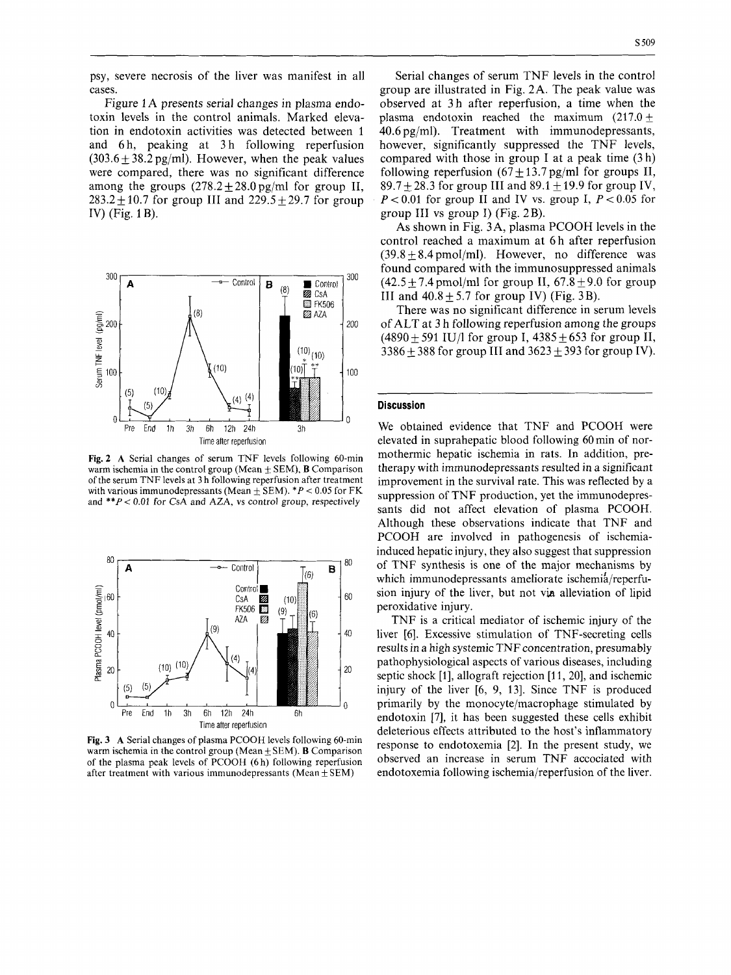psy, severe necrosis of the liver was manifest in all cases.

Figure 1 **A** presents serial changes in plasma endotoxin levels in the control animals. Marked elevation in endotoxin activities was detected between 1 and 6h, peaking at 3h following reperfusion  $(303.6 + 38.2 \text{ pg/ml})$ . However, when the peak values were compared, there was no significant difference among the groups  $(278.2 + 28.0 \text{ pg/ml}$  for group II,  $283.2 + 10.7$  for group III and  $229.5 + 29.7$  for group IV) (Fig. 1 B).



**Fig. 2 A** Serial changes of serum TNF levels following 60-min warm ischemia in the control group (Mean +\_ SEM), **B** Comparison **of** the serum TNF levels at 3 h following reperfusion after treatment with various immunodepressants (Mean  $\pm$  SEM).  $*P < 0.05$  for FK and *\*\*P* < 0.01 for *CsA* and **AZA,** vs control group, respectively



**Fig. 3 A** Serial changes of plasma PCOOH levels following 60-min warm ischemia in the control group (Mean  $\pm$  SEM). **B** Comparison of the plasma peak levels of PCOOH (6 h) following reperfusion after treatment with various immunodepressants (Mean  $\pm$  SEM)

Serial changes of serum TNF levels in the control group are illustrated in Fig. 2A. The peak value was observed at 3h after reperfusion, a time when the plasma endotoxin reached the maximum  $(217.0 +$ 40.6 pg/ml). Treatment with immunodepressants, however, significantly suppressed the TNF levels, compared with those in group I at a peak time (3 h) following reperfusion  $(67 \pm 13.7 \text{ pg/ml}$  for groups II,  $89.7 + 28.3$  for group III and  $89.1 + 19.9$  for group IV,  $P < 0.01$  for group II and IV vs. group I,  $P < 0.05$  for group I11 vs group I) (Fig. 2B).

**As** shown in Fig. 3A, plasma PCOOH levels in the control reached a maximum at **6** h after reperfusion  $(39.8 \pm 8.4 \text{ pmol/ml})$ . However, no difference was found compared with the immunosuppressed animals  $(42.5+7.4 \text{ pmol/ml}$  for group II,  $67.8+9.0$  for group III and  $40.8 + 5.7$  for group IV) (Fig. 3B).

There was no significant difference in serum levels of ALT at 3 h following reperfusion among the groups  $(4890 \pm 591 \text{ IU/l}$  for group I,  $4385 \pm 653$  for group II, 3386 + 388 for group III and  $3623 \pm 393$  for group IV).

#### **Discussion**

We obtained evidence that TNF and PCOOH were elevated in suprahepatic blood following 60 min of normothermic hepatic ischemia in rats. In addition, pretherapy with immunodepressants resulted in a significant improvement in the survival rate. This was reflected by a suppression of TNF production, yet the immunodepressants did not affect elevation of plasma PCOOH. Although these observations indicate that TNF and PCOOH are involved in pathogenesis of ischemiainduced hepatic injury, they also suggest that suppression of TNF synthesis is one of the major mechanisms by which immunodepressants ameliorate ischemia/reperfusion injury of the liver, but not via alleviation of lipid peroxidative injury.

TNF is a critical mediator of ischemic injury of the liver **[6].** Excessive stimulation of TNF-secreting cells results in a high systemic TNF concentration, presumably pathophysiological aspects of various diseases, including septic shock [1], allograft rejection [11, 20], and ischemic injury of the liver [6, 9, 131. Since TNF is produced primarily by the monocyte/macrophage stimulated by endotoxin [7], it has been suggested these cells exhibit deleterious effects attributed to the host's inflammatory response to endotoxemia [2]. In the present study, we observed an increase in serum TNF accociated with endotoxemia following ischemia/reperfusion of the liver.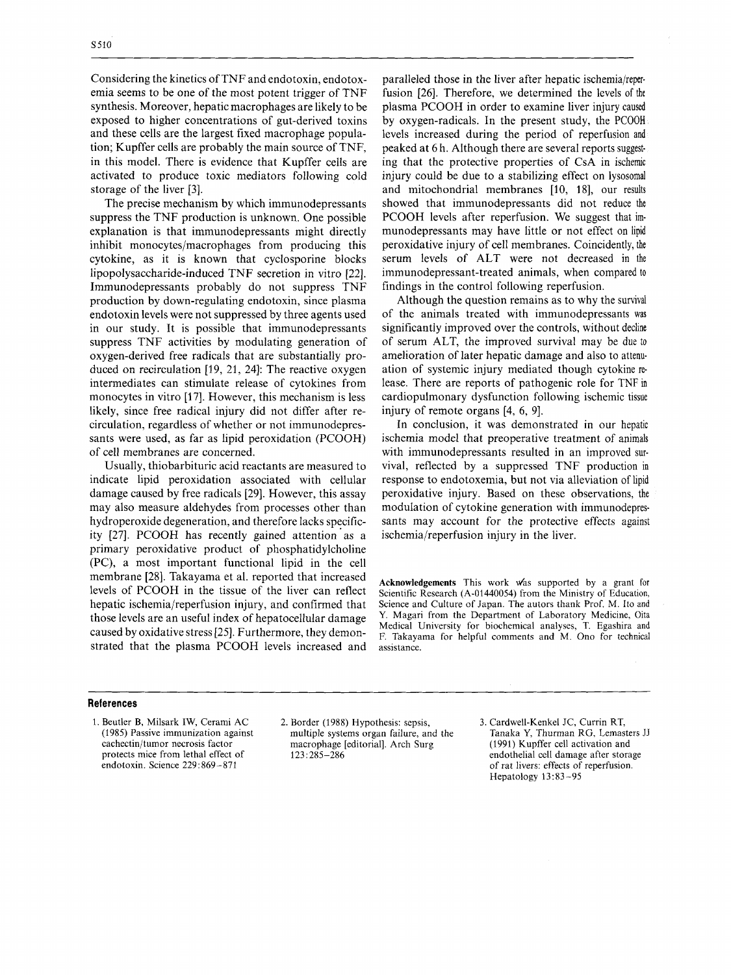Considering the kinetics of TNF and endotoxin, endotoxemia seems to be one of the most potent trigger of TNF synthesis. Moreover, hepatic macrophages are likely to be exposed to higher concentrations of gut-derived toxins and these cells are the largest fixed macrophage population; Kupffer cells are probably the main source of TNF, in this model. There is evidence that Kupffer cells are activated to produce toxic mediators following cold storage of the liver **[3].** 

The precise mechanism by which immunodepressants suppress the TNF production is unknown. One possible explanation is that immunodepressants might directly inhibit monocytes/macrophages from producing this cytokine, as it is known that cyclosporine blocks lipopolysaccharide-induced TNF secretion in vitro [22]. Immunodepressants probably do not suppress TNF production by down-regulating endotoxin, since plasma endotoxin levels were not suppressed by three agents used in our study. It is possible that immunodepressants suppress TNF activities by modulating generation of oxygen-derived free radicals that are substantially produced on recirculation [19, 21, 24]: The reactive oxygen intermediates can stimulate release of cytokines from monocytes in vitro [17]. However, this mechanism is less likely, since free radical injury did not differ after recirculation, regardless of whether or not immunodepressants were used, as far as lipid peroxidation (PCOOH) of cell membranes are concerned.

Usually, thiobarbituric acid reactants are measured to indicate lipid peroxidation associated with cellular damage caused by free radicals [29]. However, this assay may also measure aldehydes from processes other than hydroperoxide degeneration, and therefore lacks specificity [27]. PCOOH has recently gained attention as a primary peroxidative product of phosphatidylcholine (PC), a most important functional lipid in the cell membrane [28]. Takayama et al. reported that increased levels of PCOOH in the tissue of the liver can reflect hepatic ischemia/reperfusion injury, and confirmed that those levels are an useful index of hepatocellular damage caused by oxidative stress [25]. Furthermore, they demonstrated that the plasma PCOOH levels increased and

paralleled those in the liver after hepatic ischemia/reper. fusion [26]. Therefore, we determined the levels of the plasma PCOOH in order to examine liver injury caused by oxygen-radicals. In the present study, the PCOOH levels increased during the period of reperfusion and peaked at 6 h. Although there are several reports suggesting that the protective properties of CsA in ischemic injury could be due to a stabilizing effect on lysosomal and mitochondrial membranes [10, 18], our results showed that immunodepressants did not reduce the PCOOH levels after reperfusion. We suggest that immunodepressants may have little or not effect on lipid peroxidative injury of cell membranes. Coincidently, the serum levels of ALT were not decreased in the immunodepressant-treated animals, when compared to findings in the control following reperfusion.

Although the question remains as to why the survival of the animals treated with immunodepressants was significantly improved over the controls, without decline of serum ALT, the improved survival may be due *to*  amelioration of later hepatic damage and also to attenuation of systemic injury mediated though cytokine release. There are reports of pathogenic role for TNF in cardiopulmonary dysfunction following ischemic tissue injury of remote organs [4, **6,** 91.

In conclusion, it was demonstrated in our hepatic ischemia model that preoperative treatment of animals with immunodepressants resulted in an improved survival, reflected by a suppressed TNF production in response to endotoxemia, but not via alleviation of lipid peroxidative injury. Based on these observations, the modulation of cytokine generation with immunodepressants may account for the protective effects against ischemia/reperfusion injury in the liver.

**Acknowledgements** This work w'as supported by a grant for Scientific Research (A-01440054) from the Ministry of Education, Science and Culture of Japan. The autors thank Prof. M. *Ito* and Y. Magari from the Department of Laboratory Medicine, Oita Medical University for biochemical analyses, T. Egashira and F. Takayama for helpful comments and M. Ono for technical assistance.

# **References**

1. Beutler B, Milsark IW, Cerami AC (1985) Passive immunization against cachectin/tumor necrosis factor protects mice from lethal effect of endotoxin. Science 229:869-871

2. Border (1988) Hypothesis: sepsis, 3. Cardwell-Kenkel JC, Currin RT, multiple systems organ failure, and the macrophage [editorial]. Arch Surg 1231285-286

Tanaka **Y,** Thurman RG, Lemasters JJ (1991) Kupffer cell activation and endothelial cell damage after storage of rat livers: effects of reperfusion. Hepatology 13:83-95